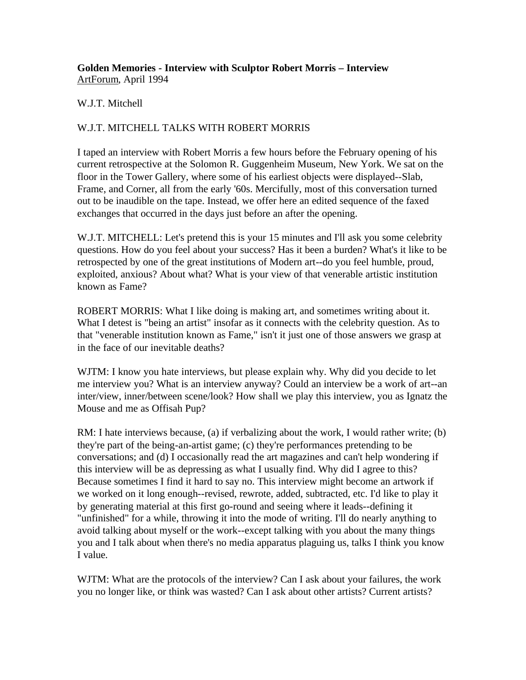## **Golden Memories - Interview with Sculptor Robert Morris – Interview** ArtForum, April 1994

## W.J.T. Mitchell

## W.J.T. MITCHELL TALKS WITH ROBERT MORRIS

I taped an interview with Robert Morris a few hours before the February opening of his current retrospective at the Solomon R. Guggenheim Museum, New York. We sat on the floor in the Tower Gallery, where some of his earliest objects were displayed--Slab, Frame, and Corner, all from the early '60s. Mercifully, most of this conversation turned out to be inaudible on the tape. Instead, we offer here an edited sequence of the faxed exchanges that occurred in the days just before an after the opening.

W.J.T. MITCHELL: Let's pretend this is your 15 minutes and I'll ask you some celebrity questions. How do you feel about your success? Has it been a burden? What's it like to be retrospected by one of the great institutions of Modern art--do you feel humble, proud, exploited, anxious? About what? What is your view of that venerable artistic institution known as Fame?

ROBERT MORRIS: What I like doing is making art, and sometimes writing about it. What I detest is "being an artist" insofar as it connects with the celebrity question. As to that "venerable institution known as Fame," isn't it just one of those answers we grasp at in the face of our inevitable deaths?

WJTM: I know you hate interviews, but please explain why. Why did you decide to let me interview you? What is an interview anyway? Could an interview be a work of art--an inter/view, inner/between scene/look? How shall we play this interview, you as Ignatz the Mouse and me as Offisah Pup?

RM: I hate interviews because, (a) if verbalizing about the work, I would rather write; (b) they're part of the being-an-artist game; (c) they're performances pretending to be conversations; and (d) I occasionally read the art magazines and can't help wondering if this interview will be as depressing as what I usually find. Why did I agree to this? Because sometimes I find it hard to say no. This interview might become an artwork if we worked on it long enough--revised, rewrote, added, subtracted, etc. I'd like to play it by generating material at this first go-round and seeing where it leads--defining it "unfinished" for a while, throwing it into the mode of writing. I'll do nearly anything to avoid talking about myself or the work--except talking with you about the many things you and I talk about when there's no media apparatus plaguing us, talks I think you know I value.

WJTM: What are the protocols of the interview? Can I ask about your failures, the work you no longer like, or think was wasted? Can I ask about other artists? Current artists?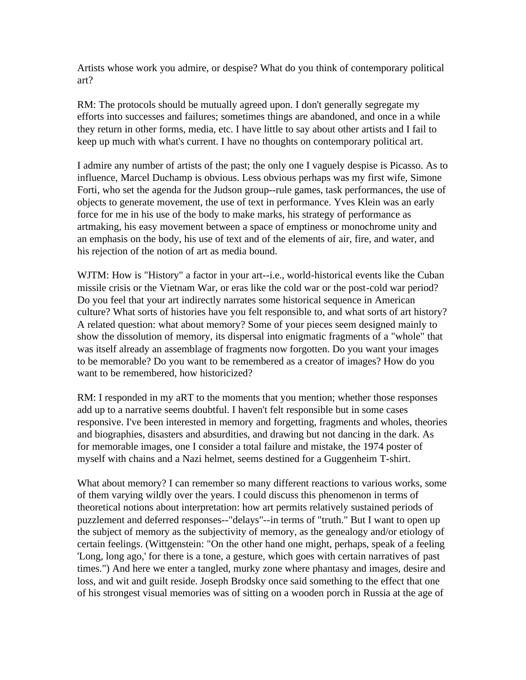Artists whose work you admire, or despise? What do you think of contemporary political art?

RM: The protocols should be mutually agreed upon. I don't generally segregate my efforts into successes and failures; sometimes things are abandoned, and once in a while they return in other forms, media, etc. I have little to say about other artists and I fail to keep up much with what's current. I have no thoughts on contemporary political art.

I admire any number of artists of the past; the only one I vaguely despise is Picasso. As to influence, Marcel Duchamp is obvious. Less obvious perhaps was my first wife, Simone Forti, who set the agenda for the Judson group--rule games, task performances, the use of objects to generate movement, the use of text in performance. Yves Klein was an early force for me in his use of the body to make marks, his strategy of performance as artmaking, his easy movement between a space of emptiness or monochrome unity and an emphasis on the body, his use of text and of the elements of air, fire, and water, and his rejection of the notion of art as media bound.

WJTM: How is "History" a factor in your art--i.e., world-historical events like the Cuban missile crisis or the Vietnam War, or eras like the cold war or the post-cold war period? Do you feel that your art indirectly narrates some historical sequence in American culture? What sorts of histories have you felt responsible to, and what sorts of art history? A related question: what about memory? Some of your pieces seem designed mainly to show the dissolution of memory, its dispersal into enigmatic fragments of a "whole" that was itself already an assemblage of fragments now forgotten. Do you want your images to be memorable? Do you want to be remembered as a creator of images? How do you want to be remembered, how historicized?

RM: I responded in my aRT to the moments that you mention; whether those responses add up to a narrative seems doubtful. I haven't felt responsible but in some cases responsive. I've been interested in memory and forgetting, fragments and wholes, theories and biographies, disasters and absurdities, and drawing but not dancing in the dark. As for memorable images, one I consider a total failure and mistake, the 1974 poster of myself with chains and a Nazi helmet, seems destined for a Guggenheim T-shirt.

What about memory? I can remember so many different reactions to various works, some of them varying wildly over the years. I could discuss this phenomenon in terms of theoretical notions about interpretation: how art permits relatively sustained periods of puzzlement and deferred responses--"delays"--in terms of "truth." But I want to open up the subject of memory as the subjectivity of memory, as the genealogy and/or etiology of certain feelings. (Wittgenstein: "On the other hand one might, perhaps, speak of a feeling 'Long, long ago,' for there is a tone, a gesture, which goes with certain narratives of past times.") And here we enter a tangled, murky zone where phantasy and images, desire and loss, and wit and guilt reside. Joseph Brodsky once said something to the effect that one of his strongest visual memories was of sitting on a wooden porch in Russia at the age of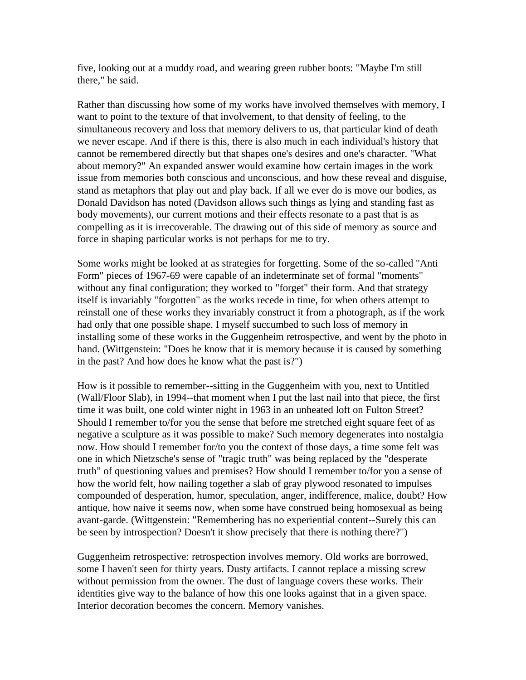five, looking out at a muddy road, and wearing green rubber boots: "Maybe I'm still there," he said.

Rather than discussing how some of my works have involved themselves with memory, I want to point to the texture of that involvement, to that density of feeling, to the simultaneous recovery and loss that memory delivers to us, that particular kind of death we never escape. And if there is this, there is also much in each individual's history that cannot be remembered directly but that shapes one's desires and one's character. "What about memory?" An expanded answer would examine how certain images in the work issue from memories both conscious and unconscious, and how these reveal and disguise, stand as metaphors that play out and play back. If all we ever do is move our bodies, as Donald Davidson has noted (Davidson allows such things as lying and standing fast as body movements), our current motions and their effects resonate to a past that is as compelling as it is irrecoverable. The drawing out of this side of memory as source and force in shaping particular works is not perhaps for me to try.

Some works might be looked at as strategies for forgetting. Some of the so-called "Anti Form" pieces of 1967-69 were capable of an indeterminate set of formal "moments" without any final configuration; they worked to "forget" their form. And that strategy itself is invariably "forgotten" as the works recede in time, for when others attempt to reinstall one of these works they invariably construct it from a photograph, as if the work had only that one possible shape. I myself succumbed to such loss of memory in installing some of these works in the Guggenheim retrospective, and went by the photo in hand. (Wittgenstein: "Does he know that it is memory because it is caused by something in the past? And how does he know what the past is?")

How is it possible to remember--sitting in the Guggenheim with you, next to Untitled (Wall/Floor Slab), in 1994--that moment when I put the last nail into that piece, the first time it was built, one cold winter night in 1963 in an unheated loft on Fulton Street? Should I remember to/for you the sense that before me stretched eight square feet of as negative a sculpture as it was possible to make? Such memory degenerates into nostalgia now. How should I remember for/to you the context of those days, a time some felt was one in which Nietzsche's sense of "tragic truth" was being replaced by the "desperate truth" of questioning values and premises? How should I remember to/for you a sense of how the world felt, how nailing together a slab of gray plywood resonated to impulses compounded of desperation, humor, speculation, anger, indifference, malice, doubt? How antique, how naive it seems now, when some have construed being homosexual as being avant-garde. (Wittgenstein: "Remembering has no experiential content--Surely this can be seen by introspection? Doesn't it show precisely that there is nothing there?")

Guggenheim retrospective: retrospection involves memory. Old works are borrowed, some I haven't seen for thirty years. Dusty artifacts. I cannot replace a missing screw without permission from the owner. The dust of language covers these works. Their identities give way to the balance of how this one looks against that in a given space. Interior decoration becomes the concern. Memory vanishes.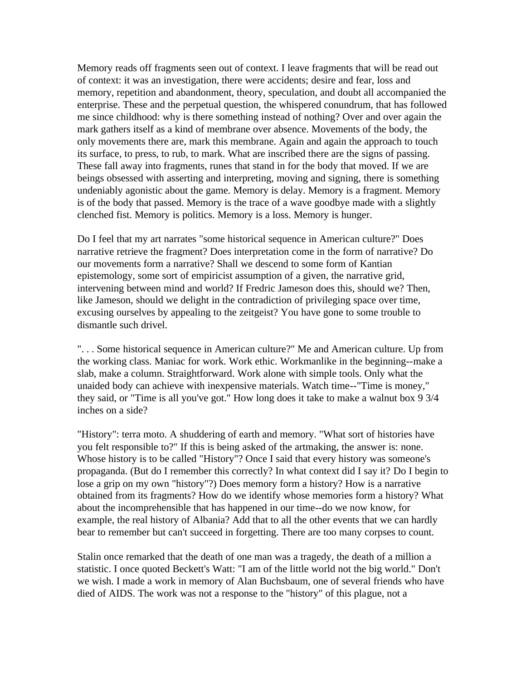Memory reads off fragments seen out of context. I leave fragments that will be read out of context: it was an investigation, there were accidents; desire and fear, loss and memory, repetition and abandonment, theory, speculation, and doubt all accompanied the enterprise. These and the perpetual question, the whispered conundrum, that has followed me since childhood: why is there something instead of nothing? Over and over again the mark gathers itself as a kind of membrane over absence. Movements of the body, the only movements there are, mark this membrane. Again and again the approach to touch its surface, to press, to rub, to mark. What are inscribed there are the signs of passing. These fall away into fragments, runes that stand in for the body that moved. If we are beings obsessed with asserting and interpreting, moving and signing, there is something undeniably agonistic about the game. Memory is delay. Memory is a fragment. Memory is of the body that passed. Memory is the trace of a wave goodbye made with a slightly clenched fist. Memory is politics. Memory is a loss. Memory is hunger.

Do I feel that my art narrates "some historical sequence in American culture?" Does narrative retrieve the fragment? Does interpretation come in the form of narrative? Do our movements form a narrative? Shall we descend to some form of Kantian epistemology, some sort of empiricist assumption of a given, the narrative grid, intervening between mind and world? If Fredric Jameson does this, should we? Then, like Jameson, should we delight in the contradiction of privileging space over time, excusing ourselves by appealing to the zeitgeist? You have gone to some trouble to dismantle such drivel.

". . . Some historical sequence in American culture?" Me and American culture. Up from the working class. Maniac for work. Work ethic. Workmanlike in the beginning--make a slab, make a column. Straightforward. Work alone with simple tools. Only what the unaided body can achieve with inexpensive materials. Watch time--"Time is money," they said, or "Time is all you've got." How long does it take to make a walnut box 9 3/4 inches on a side?

"History": terra moto. A shuddering of earth and memory. "What sort of histories have you felt responsible to?" If this is being asked of the artmaking, the answer is: none. Whose history is to be called "History"? Once I said that every history was someone's propaganda. (But do I remember this correctly? In what context did I say it? Do I begin to lose a grip on my own "history"?) Does memory form a history? How is a narrative obtained from its fragments? How do we identify whose memories form a history? What about the incomprehensible that has happened in our time--do we now know, for example, the real history of Albania? Add that to all the other events that we can hardly bear to remember but can't succeed in forgetting. There are too many corpses to count.

Stalin once remarked that the death of one man was a tragedy, the death of a million a statistic. I once quoted Beckett's Watt: "I am of the little world not the big world." Don't we wish. I made a work in memory of Alan Buchsbaum, one of several friends who have died of AIDS. The work was not a response to the "history" of this plague, not a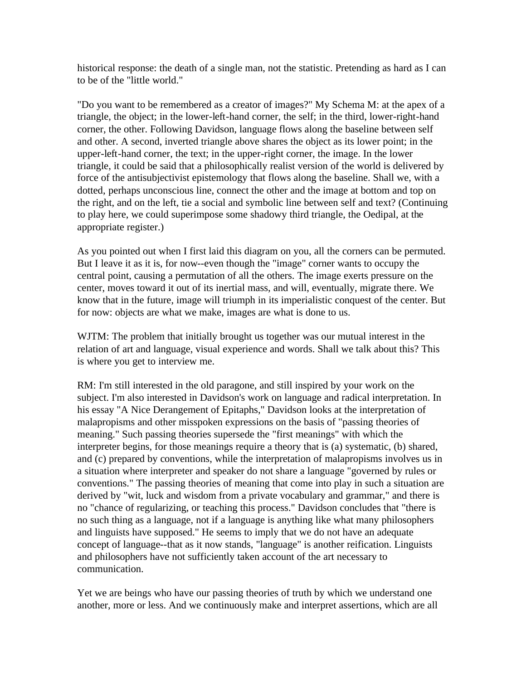historical response: the death of a single man, not the statistic. Pretending as hard as I can to be of the "little world."

"Do you want to be remembered as a creator of images?" My Schema M: at the apex of a triangle, the object; in the lower-left-hand corner, the self; in the third, lower-right-hand corner, the other. Following Davidson, language flows along the baseline between self and other. A second, inverted triangle above shares the object as its lower point; in the upper-left-hand corner, the text; in the upper-right corner, the image. In the lower triangle, it could be said that a philosophically realist version of the world is delivered by force of the antisubjectivist epistemology that flows along the baseline. Shall we, with a dotted, perhaps unconscious line, connect the other and the image at bottom and top on the right, and on the left, tie a social and symbolic line between self and text? (Continuing to play here, we could superimpose some shadowy third triangle, the Oedipal, at the appropriate register.)

As you pointed out when I first laid this diagram on you, all the corners can be permuted. But I leave it as it is, for now--even though the "image" corner wants to occupy the central point, causing a permutation of all the others. The image exerts pressure on the center, moves toward it out of its inertial mass, and will, eventually, migrate there. We know that in the future, image will triumph in its imperialistic conquest of the center. But for now: objects are what we make, images are what is done to us.

WJTM: The problem that initially brought us together was our mutual interest in the relation of art and language, visual experience and words. Shall we talk about this? This is where you get to interview me.

RM: I'm still interested in the old paragone, and still inspired by your work on the subject. I'm also interested in Davidson's work on language and radical interpretation. In his essay "A Nice Derangement of Epitaphs," Davidson looks at the interpretation of malapropisms and other misspoken expressions on the basis of "passing theories of meaning." Such passing theories supersede the "first meanings" with which the interpreter begins, for those meanings require a theory that is (a) systematic, (b) shared, and (c) prepared by conventions, while the interpretation of malapropisms involves us in a situation where interpreter and speaker do not share a language "governed by rules or conventions." The passing theories of meaning that come into play in such a situation are derived by "wit, luck and wisdom from a private vocabulary and grammar," and there is no "chance of regularizing, or teaching this process." Davidson concludes that "there is no such thing as a language, not if a language is anything like what many philosophers and linguists have supposed." He seems to imply that we do not have an adequate concept of language--that as it now stands, "language" is another reification. Linguists and philosophers have not sufficiently taken account of the art necessary to communication.

Yet we are beings who have our passing theories of truth by which we understand one another, more or less. And we continuously make and interpret assertions, which are all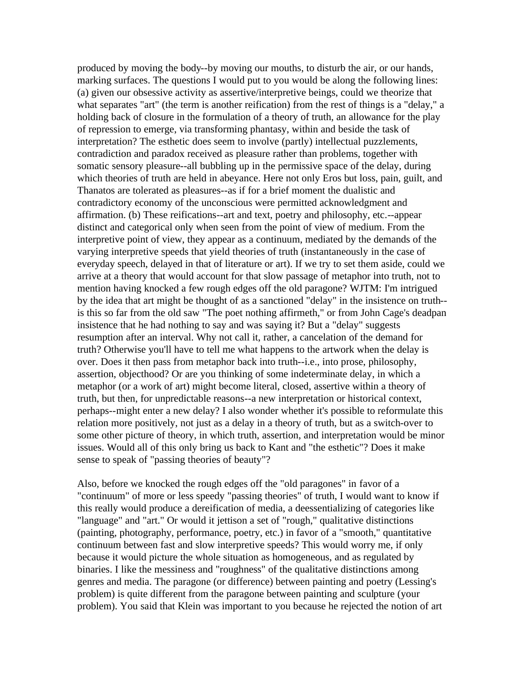produced by moving the body--by moving our mouths, to disturb the air, or our hands, marking surfaces. The questions I would put to you would be along the following lines: (a) given our obsessive activity as assertive/interpretive beings, could we theorize that what separates "art" (the term is another reification) from the rest of things is a "delay," a holding back of closure in the formulation of a theory of truth, an allowance for the play of repression to emerge, via transforming phantasy, within and beside the task of interpretation? The esthetic does seem to involve (partly) intellectual puzzlements, contradiction and paradox received as pleasure rather than problems, together with somatic sensory pleasure--all bubbling up in the permissive space of the delay, during which theories of truth are held in abeyance. Here not only Eros but loss, pain, guilt, and Thanatos are tolerated as pleasures--as if for a brief moment the dualistic and contradictory economy of the unconscious were permitted acknowledgment and affirmation. (b) These reifications--art and text, poetry and philosophy, etc.--appear distinct and categorical only when seen from the point of view of medium. From the interpretive point of view, they appear as a continuum, mediated by the demands of the varying interpretive speeds that yield theories of truth (instantaneously in the case of everyday speech, delayed in that of literature or art). If we try to set them aside, could we arrive at a theory that would account for that slow passage of metaphor into truth, not to mention having knocked a few rough edges off the old paragone? WJTM: I'm intrigued by the idea that art might be thought of as a sanctioned "delay" in the insistence on truth- is this so far from the old saw "The poet nothing affirmeth," or from John Cage's deadpan insistence that he had nothing to say and was saying it? But a "delay" suggests resumption after an interval. Why not call it, rather, a cancelation of the demand for truth? Otherwise you'll have to tell me what happens to the artwork when the delay is over. Does it then pass from metaphor back into truth--i.e., into prose, philosophy, assertion, objecthood? Or are you thinking of some indeterminate delay, in which a metaphor (or a work of art) might become literal, closed, assertive within a theory of truth, but then, for unpredictable reasons--a new interpretation or historical context, perhaps--might enter a new delay? I also wonder whether it's possible to reformulate this relation more positively, not just as a delay in a theory of truth, but as a switch-over to some other picture of theory, in which truth, assertion, and interpretation would be minor issues. Would all of this only bring us back to Kant and "the esthetic"? Does it make sense to speak of "passing theories of beauty"?

Also, before we knocked the rough edges off the "old paragones" in favor of a "continuum" of more or less speedy "passing theories" of truth, I would want to know if this really would produce a dereification of media, a deessentializing of categories like "language" and "art." Or would it jettison a set of "rough," qualitative distinctions (painting, photography, performance, poetry, etc.) in favor of a "smooth," quantitative continuum between fast and slow interpretive speeds? This would worry me, if only because it would picture the whole situation as homogeneous, and as regulated by binaries. I like the messiness and "roughness" of the qualitative distinctions among genres and media. The paragone (or difference) between painting and poetry (Lessing's problem) is quite different from the paragone between painting and sculpture (your problem). You said that Klein was important to you because he rejected the notion of art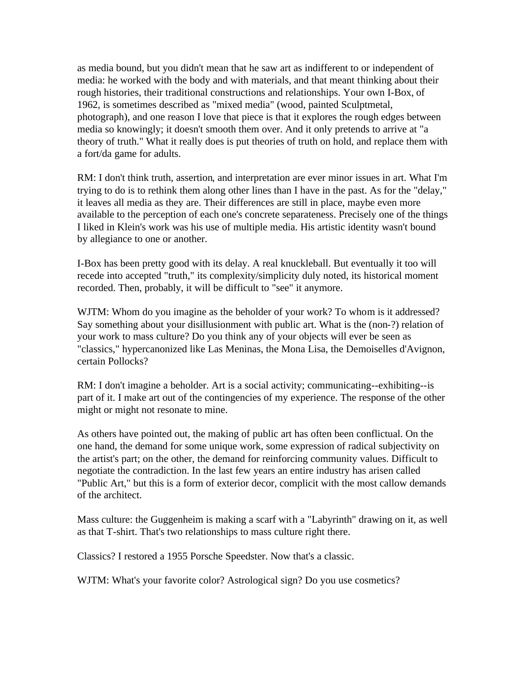as media bound, but you didn't mean that he saw art as indifferent to or independent of media: he worked with the body and with materials, and that meant thinking about their rough histories, their traditional constructions and relationships. Your own I-Box, of 1962, is sometimes described as "mixed media" (wood, painted Sculptmetal, photograph), and one reason I love that piece is that it explores the rough edges between media so knowingly; it doesn't smooth them over. And it only pretends to arrive at "a theory of truth." What it really does is put theories of truth on hold, and replace them with a fort/da game for adults.

RM: I don't think truth, assertion, and interpretation are ever minor issues in art. What I'm trying to do is to rethink them along other lines than I have in the past. As for the "delay," it leaves all media as they are. Their differences are still in place, maybe even more available to the perception of each one's concrete separateness. Precisely one of the things I liked in Klein's work was his use of multiple media. His artistic identity wasn't bound by allegiance to one or another.

I-Box has been pretty good with its delay. A real knuckleball. But eventually it too will recede into accepted "truth," its complexity/simplicity duly noted, its historical moment recorded. Then, probably, it will be difficult to "see" it anymore.

WJTM: Whom do you imagine as the beholder of your work? To whom is it addressed? Say something about your disillusionment with public art. What is the (non-?) relation of your work to mass culture? Do you think any of your objects will ever be seen as "classics," hypercanonized like Las Meninas, the Mona Lisa, the Demoiselles d'Avignon, certain Pollocks?

RM: I don't imagine a beholder. Art is a social activity; communicating--exhibiting--is part of it. I make art out of the contingencies of my experience. The response of the other might or might not resonate to mine.

As others have pointed out, the making of public art has often been conflictual. On the one hand, the demand for some unique work, some expression of radical subjectivity on the artist's part; on the other, the demand for reinforcing community values. Difficult to negotiate the contradiction. In the last few years an entire industry has arisen called "Public Art," but this is a form of exterior decor, complicit with the most callow demands of the architect.

Mass culture: the Guggenheim is making a scarf with a "Labyrinth" drawing on it, as well as that T-shirt. That's two relationships to mass culture right there.

Classics? I restored a 1955 Porsche Speedster. Now that's a classic.

WJTM: What's your favorite color? Astrological sign? Do you use cosmetics?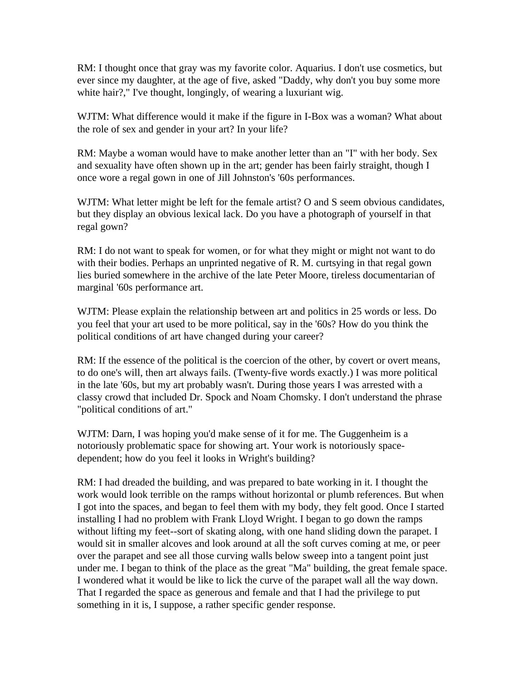RM: I thought once that gray was my favorite color. Aquarius. I don't use cosmetics, but ever since my daughter, at the age of five, asked "Daddy, why don't you buy some more white hair?," I've thought, longingly, of wearing a luxuriant wig.

WJTM: What difference would it make if the figure in I-Box was a woman? What about the role of sex and gender in your art? In your life?

RM: Maybe a woman would have to make another letter than an "I" with her body. Sex and sexuality have often shown up in the art; gender has been fairly straight, though I once wore a regal gown in one of Jill Johnston's '60s performances.

WJTM: What letter might be left for the female artist? O and S seem obvious candidates, but they display an obvious lexical lack. Do you have a photograph of yourself in that regal gown?

RM: I do not want to speak for women, or for what they might or might not want to do with their bodies. Perhaps an unprinted negative of R. M. curtsying in that regal gown lies buried somewhere in the archive of the late Peter Moore, tireless documentarian of marginal '60s performance art.

WJTM: Please explain the relationship between art and politics in 25 words or less. Do you feel that your art used to be more political, say in the '60s? How do you think the political conditions of art have changed during your career?

RM: If the essence of the political is the coercion of the other, by covert or overt means, to do one's will, then art always fails. (Twenty-five words exactly.) I was more political in the late '60s, but my art probably wasn't. During those years I was arrested with a classy crowd that included Dr. Spock and Noam Chomsky. I don't understand the phrase "political conditions of art."

WJTM: Darn, I was hoping you'd make sense of it for me. The Guggenheim is a notoriously problematic space for showing art. Your work is notoriously spacedependent; how do you feel it looks in Wright's building?

RM: I had dreaded the building, and was prepared to bate working in it. I thought the work would look terrible on the ramps without horizontal or plumb references. But when I got into the spaces, and began to feel them with my body, they felt good. Once I started installing I had no problem with Frank Lloyd Wright. I began to go down the ramps without lifting my feet--sort of skating along, with one hand sliding down the parapet. I would sit in smaller alcoves and look around at all the soft curves coming at me, or peer over the parapet and see all those curving walls below sweep into a tangent point just under me. I began to think of the place as the great "Ma" building, the great female space. I wondered what it would be like to lick the curve of the parapet wall all the way down. That I regarded the space as generous and female and that I had the privilege to put something in it is, I suppose, a rather specific gender response.